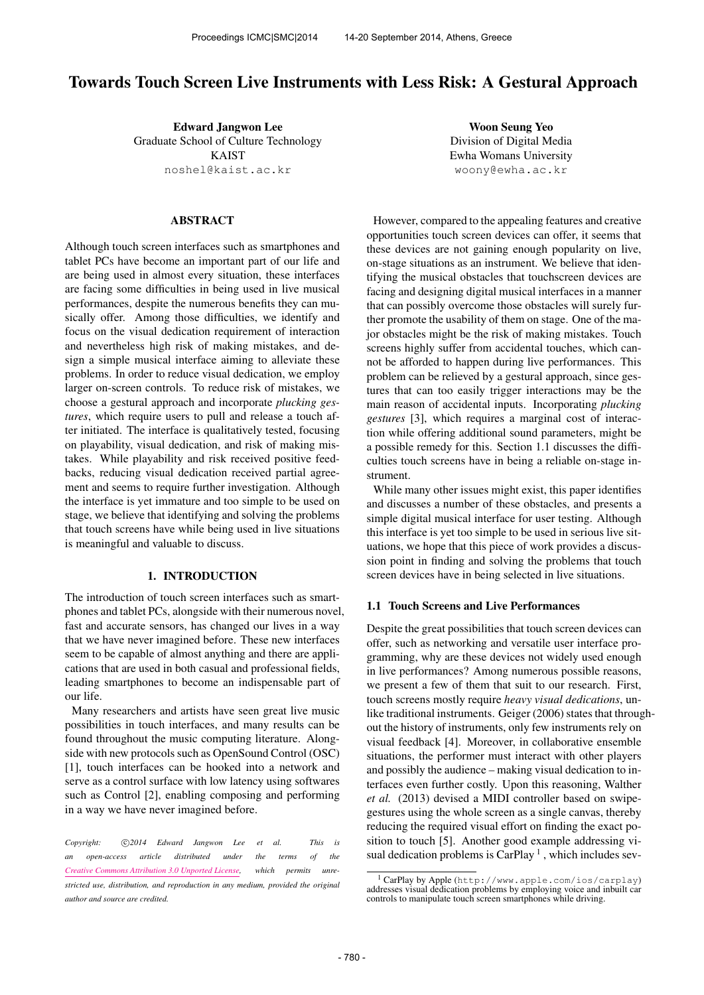# Towards Touch Screen Live Instruments with Less Risk: A Gestural Approach

Edward Jangwon Lee Graduate School of Culture Technology KAIST [noshel@kaist.ac.kr](mailto:noshel@kaist.ac.kr)

## ABSTRACT

Although touch screen interfaces such as smartphones and tablet PCs have become an important part of our life and are being used in almost every situation, these interfaces are facing some difficulties in being used in live musical performances, despite the numerous benefits they can musically offer. Among those difficulties, we identify and focus on the visual dedication requirement of interaction and nevertheless high risk of making mistakes, and design a simple musical interface aiming to alleviate these problems. In order to reduce visual dedication, we employ larger on-screen controls. To reduce risk of mistakes, we choose a gestural approach and incorporate *plucking gestures*, which require users to pull and release a touch after initiated. The interface is qualitatively tested, focusing on playability, visual dedication, and risk of making mistakes. While playability and risk received positive feedbacks, reducing visual dedication received partial agreement and seems to require further investigation. Although the interface is yet immature and too simple to be used on stage, we believe that identifying and solving the problems that touch screens have while being used in live situations is meaningful and valuable to discuss.

## 1. INTRODUCTION

The introduction of touch screen interfaces such as smartphones and tablet PCs, alongside with their numerous novel, fast and accurate sensors, has changed our lives in a way that we have never imagined before. These new interfaces seem to be capable of almost anything and there are applications that are used in both casual and professional fields, leading smartphones to become an indispensable part of our life.

Many researchers and artists have seen great live music possibilities in touch interfaces, and many results can be found throughout the music computing literature. Alongside with new protocols such as OpenSound Control (OSC) [1], touch interfaces can be hooked into a network and serve as a control surface with low latency using softwares such as Control [2], enabling composing and performing in a way we have never imagined before.

Copyright:  $\bigcirc$  2014 Edward Jangwon Lee et al. This is *an open-access article distributed under the terms of the [Creative Commons Attribution 3.0 Unported License,](http://creativecommons.org/licenses/by/3.0/) which permits unrestricted use, distribution, and reproduction in any medium, provided the original author and source are credited.*

Woon Seung Yeo Division of Digital Media Ewha Womans University [woony@ewha.ac.kr](mailto:woony@ewha.ac.kr)

However, compared to the appealing features and creative opportunities touch screen devices can offer, it seems that these devices are not gaining enough popularity on live, on-stage situations as an instrument. We believe that identifying the musical obstacles that touchscreen devices are facing and designing digital musical interfaces in a manner that can possibly overcome those obstacles will surely further promote the usability of them on stage. One of the major obstacles might be the risk of making mistakes. Touch screens highly suffer from accidental touches, which cannot be afforded to happen during live performances. This problem can be relieved by a gestural approach, since gestures that can too easily trigger interactions may be the main reason of accidental inputs. Incorporating *plucking gestures* [3], which requires a marginal cost of interaction while offering additional sound parameters, might be a possible remedy for this. Section 1.1 discusses the difficulties touch screens have in being a reliable on-stage instrument.

While many other issues might exist, this paper identifies and discusses a number of these obstacles, and presents a simple digital musical interface for user testing. Although this interface is yet too simple to be used in serious live situations, we hope that this piece of work provides a discussion point in finding and solving the problems that touch screen devices have in being selected in live situations.

#### 1.1 Touch Screens and Live Performances

Despite the great possibilities that touch screen devices can offer, such as networking and versatile user interface programming, why are these devices not widely used enough in live performances? Among numerous possible reasons, we present a few of them that suit to our research. First, touch screens mostly require *heavy visual dedications*, unlike traditional instruments. Geiger (2006) states that throughout the history of instruments, only few instruments rely on visual feedback [4]. Moreover, in collaborative ensemble situations, the performer must interact with other players and possibly the audience – making visual dedication to interfaces even further costly. Upon this reasoning, Walther *et al.* (2013) devised a MIDI controller based on swipegestures using the whole screen as a single canvas, thereby reducing the required visual effort on finding the exact position to touch [5]. Another good example addressing visual dedication problems is CarPlay<sup>1</sup>, which includes sev-

<sup>1</sup> CarPlay by Apple (<http://www.apple.com/ios/carplay>) addresses visual dedication problems by employing voice and inbuilt car controls to manipulate touch screen smartphones while driving.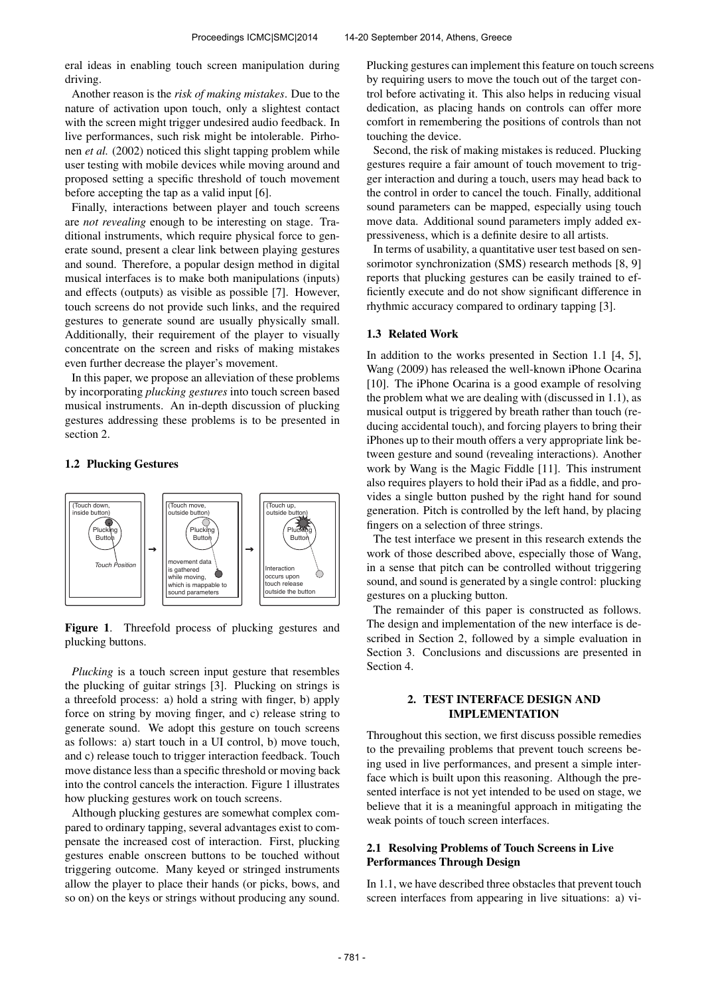eral ideas in enabling touch screen manipulation during driving.

Another reason is the *risk of making mistakes*. Due to the nature of activation upon touch, only a slightest contact with the screen might trigger undesired audio feedback. In live performances, such risk might be intolerable. Pirhonen *et al.* (2002) noticed this slight tapping problem while user testing with mobile devices while moving around and proposed setting a specific threshold of touch movement before accepting the tap as a valid input [6].

Finally, interactions between player and touch screens are *not revealing* enough to be interesting on stage. Traditional instruments, which require physical force to generate sound, present a clear link between playing gestures and sound. Therefore, a popular design method in digital musical interfaces is to make both manipulations (inputs) and effects (outputs) as visible as possible [7]. However, touch screens do not provide such links, and the required gestures to generate sound are usually physically small. Additionally, their requirement of the player to visually concentrate on the screen and risks of making mistakes even further decrease the player's movement.

In this paper, we propose an alleviation of these problems by incorporating *plucking gestures* into touch screen based musical instruments. An in-depth discussion of plucking gestures addressing these problems is to be presented in section 2.

## 1.2 Plucking Gestures



Figure 1. Threefold process of plucking gestures and plucking buttons.

*Plucking* is a touch screen input gesture that resembles the plucking of guitar strings [3]. Plucking on strings is a threefold process: a) hold a string with finger, b) apply force on string by moving finger, and c) release string to generate sound. We adopt this gesture on touch screens as follows: a) start touch in a UI control, b) move touch, and c) release touch to trigger interaction feedback. Touch move distance less than a specific threshold or moving back into the control cancels the interaction. Figure 1 illustrates how plucking gestures work on touch screens.

Although plucking gestures are somewhat complex compared to ordinary tapping, several advantages exist to compensate the increased cost of interaction. First, plucking gestures enable onscreen buttons to be touched without triggering outcome. Many keyed or stringed instruments allow the player to place their hands (or picks, bows, and so on) on the keys or strings without producing any sound. Plucking gestures can implement this feature on touch screens by requiring users to move the touch out of the target control before activating it. This also helps in reducing visual dedication, as placing hands on controls can offer more comfort in remembering the positions of controls than not touching the device.

Second, the risk of making mistakes is reduced. Plucking gestures require a fair amount of touch movement to trigger interaction and during a touch, users may head back to the control in order to cancel the touch. Finally, additional sound parameters can be mapped, especially using touch move data. Additional sound parameters imply added expressiveness, which is a definite desire to all artists.

In terms of usability, a quantitative user test based on sensorimotor synchronization (SMS) research methods [8, 9] reports that plucking gestures can be easily trained to efficiently execute and do not show significant difference in rhythmic accuracy compared to ordinary tapping [3].

## 1.3 Related Work

In addition to the works presented in Section 1.1 [4, 5], Wang (2009) has released the well-known iPhone Ocarina [10]. The iPhone Ocarina is a good example of resolving the problem what we are dealing with (discussed in 1.1), as musical output is triggered by breath rather than touch (reducing accidental touch), and forcing players to bring their iPhones up to their mouth offers a very appropriate link between gesture and sound (revealing interactions). Another work by Wang is the Magic Fiddle [11]. This instrument also requires players to hold their iPad as a fiddle, and provides a single button pushed by the right hand for sound generation. Pitch is controlled by the left hand, by placing fingers on a selection of three strings.

The test interface we present in this research extends the work of those described above, especially those of Wang, in a sense that pitch can be controlled without triggering sound, and sound is generated by a single control: plucking gestures on a plucking button.

The remainder of this paper is constructed as follows. The design and implementation of the new interface is described in Section 2, followed by a simple evaluation in Section 3. Conclusions and discussions are presented in Section 4.

## 2. TEST INTERFACE DESIGN AND IMPLEMENTATION

Throughout this section, we first discuss possible remedies to the prevailing problems that prevent touch screens being used in live performances, and present a simple interface which is built upon this reasoning. Although the presented interface is not yet intended to be used on stage, we believe that it is a meaningful approach in mitigating the weak points of touch screen interfaces.

## 2.1 Resolving Problems of Touch Screens in Live Performances Through Design

In 1.1, we have described three obstacles that prevent touch screen interfaces from appearing in live situations: a) vi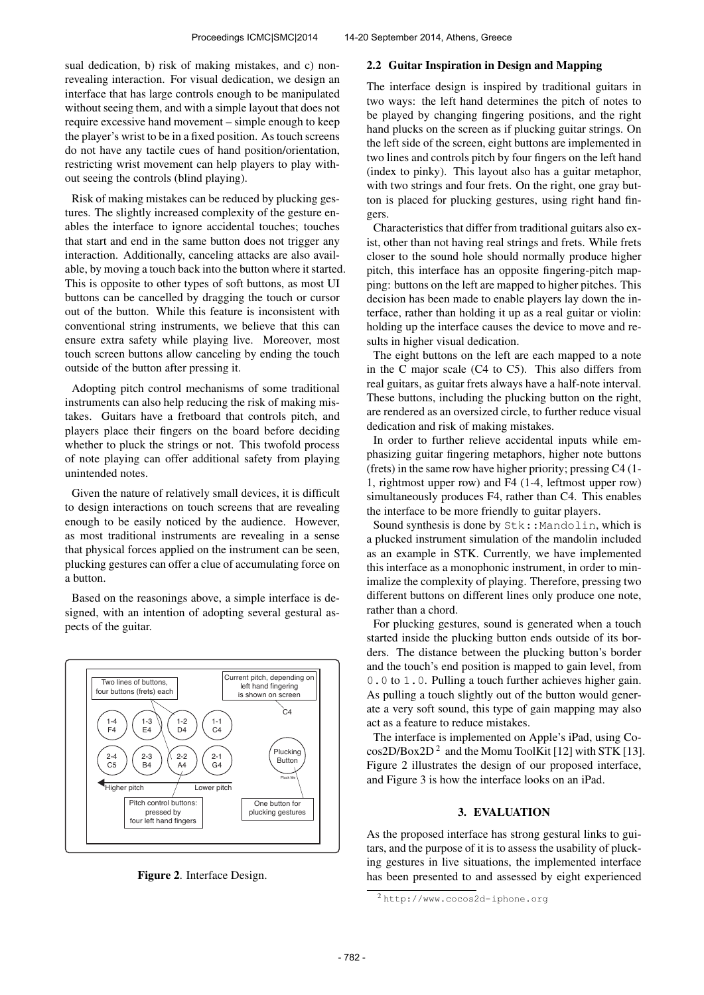sual dedication, b) risk of making mistakes, and c) nonrevealing interaction. For visual dedication, we design an interface that has large controls enough to be manipulated without seeing them, and with a simple layout that does not require excessive hand movement – simple enough to keep the player's wrist to be in a fixed position. As touch screens do not have any tactile cues of hand position/orientation, restricting wrist movement can help players to play without seeing the controls (blind playing).

Risk of making mistakes can be reduced by plucking gestures. The slightly increased complexity of the gesture enables the interface to ignore accidental touches; touches that start and end in the same button does not trigger any interaction. Additionally, canceling attacks are also available, by moving a touch back into the button where it started. This is opposite to other types of soft buttons, as most UI buttons can be cancelled by dragging the touch or cursor out of the button. While this feature is inconsistent with conventional string instruments, we believe that this can ensure extra safety while playing live. Moreover, most touch screen buttons allow canceling by ending the touch outside of the button after pressing it.

Adopting pitch control mechanisms of some traditional instruments can also help reducing the risk of making mistakes. Guitars have a fretboard that controls pitch, and players place their fingers on the board before deciding whether to pluck the strings or not. This twofold process of note playing can offer additional safety from playing unintended notes.

Given the nature of relatively small devices, it is difficult to design interactions on touch screens that are revealing enough to be easily noticed by the audience. However, as most traditional instruments are revealing in a sense that physical forces applied on the instrument can be seen, plucking gestures can offer a clue of accumulating force on a button.

Based on the reasonings above, a simple interface is designed, with an intention of adopting several gestural aspects of the guitar.



Figure 2. Interface Design.

#### 2.2 Guitar Inspiration in Design and Mapping

The interface design is inspired by traditional guitars in two ways: the left hand determines the pitch of notes to be played by changing fingering positions, and the right hand plucks on the screen as if plucking guitar strings. On the left side of the screen, eight buttons are implemented in two lines and controls pitch by four fingers on the left hand (index to pinky). This layout also has a guitar metaphor, with two strings and four frets. On the right, one gray button is placed for plucking gestures, using right hand fingers.

Characteristics that differ from traditional guitars also exist, other than not having real strings and frets. While frets closer to the sound hole should normally produce higher pitch, this interface has an opposite fingering-pitch mapping: buttons on the left are mapped to higher pitches. This decision has been made to enable players lay down the interface, rather than holding it up as a real guitar or violin: holding up the interface causes the device to move and results in higher visual dedication.

The eight buttons on the left are each mapped to a note in the C major scale (C4 to C5). This also differs from real guitars, as guitar frets always have a half-note interval. These buttons, including the plucking button on the right, are rendered as an oversized circle, to further reduce visual dedication and risk of making mistakes.

In order to further relieve accidental inputs while emphasizing guitar fingering metaphors, higher note buttons (frets) in the same row have higher priority; pressing C4 (1- 1, rightmost upper row) and F4 (1-4, leftmost upper row) simultaneously produces F4, rather than C4. This enables the interface to be more friendly to guitar players.

Sound synthesis is done by  $Stk$ ::Mandolin, which is a plucked instrument simulation of the mandolin included as an example in STK. Currently, we have implemented this interface as a monophonic instrument, in order to minimalize the complexity of playing. Therefore, pressing two different buttons on different lines only produce one note, rather than a chord.

For plucking gestures, sound is generated when a touch started inside the plucking button ends outside of its borders. The distance between the plucking button's border and the touch's end position is mapped to gain level, from 0.0 to 1.0. Pulling a touch further achieves higher gain. As pulling a touch slightly out of the button would generate a very soft sound, this type of gain mapping may also act as a feature to reduce mistakes.

The interface is implemented on Apple's iPad, using Co- $\cos 2D/B \propto 2D^2$  and the Momu ToolKit [12] with STK [13]. Figure 2 illustrates the design of our proposed interface, and Figure 3 is how the interface looks on an iPad.

## 3. EVALUATION

As the proposed interface has strong gestural links to guitars, and the purpose of it is to assess the usability of plucking gestures in live situations, the implemented interface has been presented to and assessed by eight experienced

<sup>2</sup> <http://www.cocos2d-iphone.org>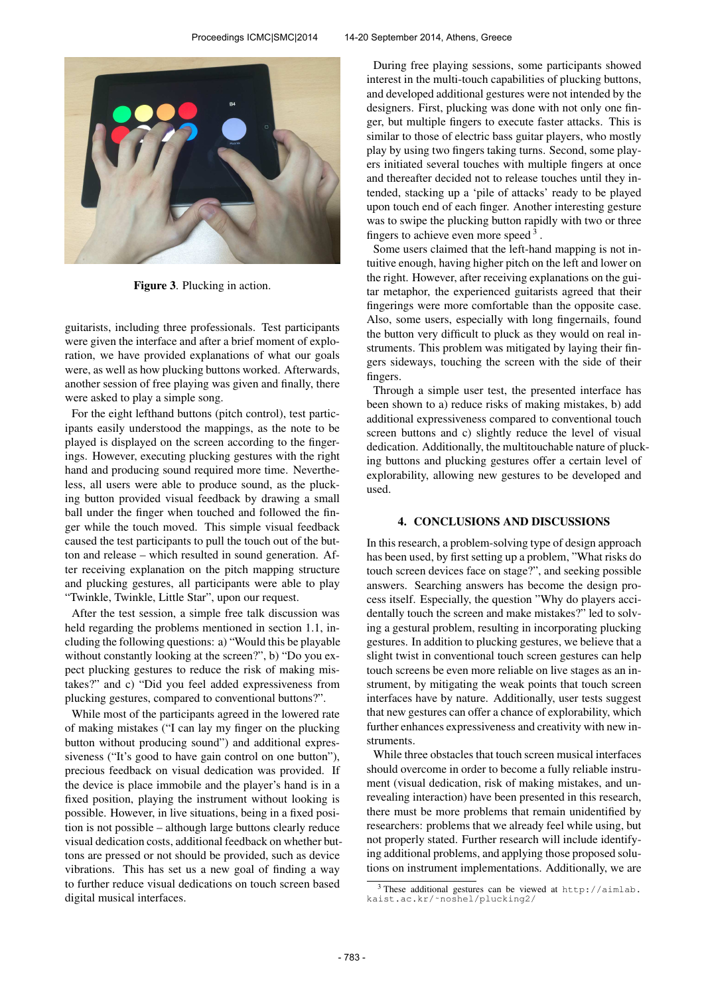

Figure 3. Plucking in action.

guitarists, including three professionals. Test participants were given the interface and after a brief moment of exploration, we have provided explanations of what our goals were, as well as how plucking buttons worked. Afterwards, another session of free playing was given and finally, there were asked to play a simple song.

For the eight lefthand buttons (pitch control), test participants easily understood the mappings, as the note to be played is displayed on the screen according to the fingerings. However, executing plucking gestures with the right hand and producing sound required more time. Nevertheless, all users were able to produce sound, as the plucking button provided visual feedback by drawing a small ball under the finger when touched and followed the finger while the touch moved. This simple visual feedback caused the test participants to pull the touch out of the button and release – which resulted in sound generation. After receiving explanation on the pitch mapping structure and plucking gestures, all participants were able to play "Twinkle, Twinkle, Little Star", upon our request.

After the test session, a simple free talk discussion was held regarding the problems mentioned in section 1.1, including the following questions: a) "Would this be playable without constantly looking at the screen?", b) "Do you expect plucking gestures to reduce the risk of making mistakes?" and c) "Did you feel added expressiveness from plucking gestures, compared to conventional buttons?".

While most of the participants agreed in the lowered rate of making mistakes ("I can lay my finger on the plucking button without producing sound") and additional expressiveness ("It's good to have gain control on one button"), precious feedback on visual dedication was provided. If the device is place immobile and the player's hand is in a fixed position, playing the instrument without looking is possible. However, in live situations, being in a fixed position is not possible – although large buttons clearly reduce visual dedication costs, additional feedback on whether buttons are pressed or not should be provided, such as device vibrations. This has set us a new goal of finding a way to further reduce visual dedications on touch screen based digital musical interfaces.

During free playing sessions, some participants showed interest in the multi-touch capabilities of plucking buttons, and developed additional gestures were not intended by the designers. First, plucking was done with not only one finger, but multiple fingers to execute faster attacks. This is similar to those of electric bass guitar players, who mostly play by using two fingers taking turns. Second, some players initiated several touches with multiple fingers at once and thereafter decided not to release touches until they intended, stacking up a 'pile of attacks' ready to be played upon touch end of each finger. Another interesting gesture was to swipe the plucking button rapidly with two or three fingers to achieve even more speed<sup>3</sup>.

Some users claimed that the left-hand mapping is not intuitive enough, having higher pitch on the left and lower on the right. However, after receiving explanations on the guitar metaphor, the experienced guitarists agreed that their fingerings were more comfortable than the opposite case. Also, some users, especially with long fingernails, found the button very difficult to pluck as they would on real instruments. This problem was mitigated by laying their fingers sideways, touching the screen with the side of their fingers.

Through a simple user test, the presented interface has been shown to a) reduce risks of making mistakes, b) add additional expressiveness compared to conventional touch screen buttons and c) slightly reduce the level of visual dedication. Additionally, the multitouchable nature of plucking buttons and plucking gestures offer a certain level of explorability, allowing new gestures to be developed and used.

#### 4. CONCLUSIONS AND DISCUSSIONS

In this research, a problem-solving type of design approach has been used, by first setting up a problem, "What risks do touch screen devices face on stage?", and seeking possible answers. Searching answers has become the design process itself. Especially, the question "Why do players accidentally touch the screen and make mistakes?" led to solving a gestural problem, resulting in incorporating plucking gestures. In addition to plucking gestures, we believe that a slight twist in conventional touch screen gestures can help touch screens be even more reliable on live stages as an instrument, by mitigating the weak points that touch screen interfaces have by nature. Additionally, user tests suggest that new gestures can offer a chance of explorability, which further enhances expressiveness and creativity with new instruments.

While three obstacles that touch screen musical interfaces should overcome in order to become a fully reliable instrument (visual dedication, risk of making mistakes, and unrevealing interaction) have been presented in this research, there must be more problems that remain unidentified by researchers: problems that we already feel while using, but not properly stated. Further research will include identifying additional problems, and applying those proposed solutions on instrument implementations. Additionally, we are

<sup>3</sup> These additional gestures can be viewed at [http://aimlab.](http://aimlab.kaist.ac.kr/~noshel/plucking2/) [kaist.ac.kr/˜noshel/plucking2/](http://aimlab.kaist.ac.kr/~noshel/plucking2/)